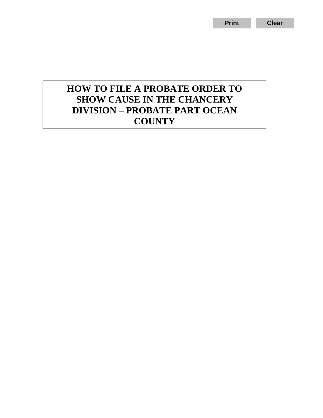## **HOW TO FILE A PROBATE ORDER TO SHOW CAUSE IN THE CHANCERY DIVISION – PROBATE PART OCEAN COUNTY**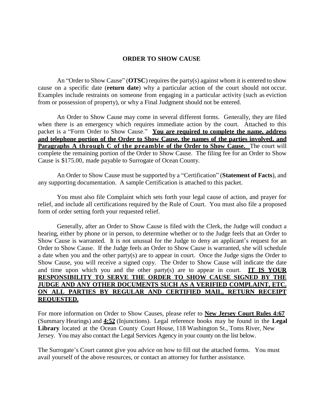### **ORDER TO SHOW CAUSE**

An "Order to Show Cause" (**OTSC**) requires the party(s) against whom it is entered to show cause on a specific date (**return date**) why a particular action of the court should not occur. Examples include restraints on someone from engaging in a particular activity (such as eviction from or possession of property), or why a Final Judgment should not be entered.

An Order to Show Cause may come in several different forms. Generally, they are filed when there is an emergency which requires immediate action by the court. Attached to this packet is a "Form Order to Show Cause." **You are required to complete the name, address and telephone portion of the Order to Show Cause, the names of the parties involved, and Paragraphs A through C of the preamble of the Order to Show Cause. The court will** complete the remaining portion of the Order to Show Cause. The filing fee for an Order to Show Cause is \$175.00, made payable to Surrogate of Ocean County.

An Order to Show Cause must be supported by a "Certification" (**Statement of Facts**), and any supporting documentation. A sample Certification is attached to this packet.

You must also file Complaint which sets forth your legal cause of action, and prayer for relief, and include all certifications required by the Rule of Court. You must also file a proposed form of order setting forth your requested relief.

Generally, after an Order to Show Cause is filed with the Clerk, the Judge will conduct a hearing, either by phone or in person, to determine whether or to the Judge feels that an Order to Show Cause is warranted. It is not unusual for the Judge to deny an applicant's request for an Order to Show Cause. If the Judge feels an Order to Show Cause is warranted, she will schedule a date when you and the other party(s) are to appear in court. Once the Judge signs the Order to Show Cause, you will receive a signed copy. The Order to Show Cause will indicate the date and time upon which you and the other party(s) are to appear in court. **IT IS YOUR RESPONSIBILITY TO SERVE THE ORDER TO SHOW CAUSE SIGNED BY THE JUDGE AND ANY OTHER DOCUMENTS SUCH AS A VERIFIED COMPLAINT, ETC. ON ALL PARTIES BY REGULAR AND CERTIFIED MAIL, RETURN RECEIPT REQUESTED.**

For more information on Order to Show Causes, please refer to **New Jersey Court Rules 4:67** (Summary Hearings) and **4:52** (Injunctions). Legal reference books may be found in the **Legal Library** located at the Ocean County Court House, 118 Washington St., Toms River, New Jersey. You may also contact the Legal Services Agency in your county on the list below.

The Surrogate's Court cannot give you advice on how to fill out the attached forms. You must avail yourself of the above resources, or contact an attorney for further assistance.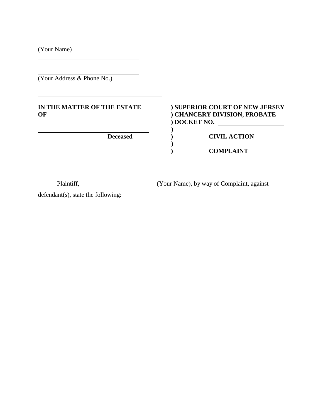(Your Name)

(Your Address & Phone No.)

# **IN THE MATTER OF THE ESTATE ) SUPERIOR COURT OF NEW JERSEY**

## **OF ) CHANCERY DIVISION, PROBATE ) DOCKET NO.**

**Deceased ) CIVIL ACTION**

**) COMPLAINT**

Plaintiff, (Your Name), by way of Complaint, against

**)**

**)**

defendant(s), state the following: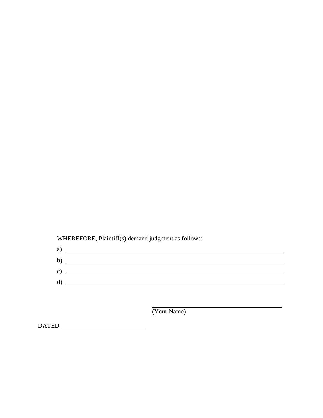WHEREFORE, Plaintiff(s) demand judgment as follows:

| a) | <u> 1980 - Jan Stein Stein Stein Stein Stein Stein Stein Stein Stein Stein Stein Stein Stein Stein Stein Stein S</u> |
|----|----------------------------------------------------------------------------------------------------------------------|
| b) | <u> 1980 - Jan Samuel Barbara, martin di sebagai pertama pertama pertama pertama pertama pertama pertama pertama</u> |
| c) | the contract of the contract of the contract of the contract of the contract of the contract of the contract of      |
| d) |                                                                                                                      |
|    |                                                                                                                      |

(Your Name)

DATED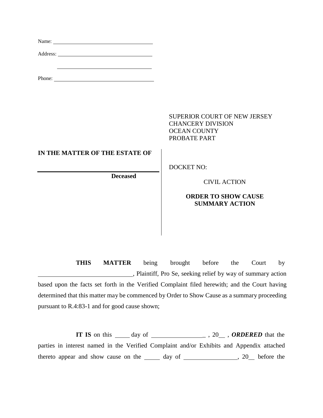| Name: Name and the set of the set of the set of the set of the set of the set of the set of the set of the set of the set of the set of the set of the set of the set of the set of the set of the set of the set of the set o |                                                                                                        |
|--------------------------------------------------------------------------------------------------------------------------------------------------------------------------------------------------------------------------------|--------------------------------------------------------------------------------------------------------|
|                                                                                                                                                                                                                                |                                                                                                        |
| <u> 1989 - Johann Barn, mars eta bat erroman erroman erroman erroman erroman erroman erroman erroman erroman err</u>                                                                                                           |                                                                                                        |
|                                                                                                                                                                                                                                | <b>SUPERIOR COURT OF NEW JERSEY</b><br><b>CHANCERY DIVISION</b><br><b>OCEAN COUNTY</b><br>PROBATE PART |
| IN THE MATTER OF THE ESTATE OF                                                                                                                                                                                                 |                                                                                                        |
| <b>Deceased</b>                                                                                                                                                                                                                | <b>DOCKET NO:</b><br><b>CIVIL ACTION</b><br><b>ORDER TO SHOW CAUSE</b><br><b>SUMMARY ACTION</b>        |
|                                                                                                                                                                                                                                |                                                                                                        |

**THIS MATTER** being brought before the Court by , Plaintiff, Pro Se, seeking relief by way of summary action based upon the facts set forth in the Verified Complaint filed herewith; and the Court having determined that this matter may be commenced by Order to Show Cause as a summary proceeding pursuant to R.4:83-1 and for good cause shown;

**IT IS** on this <u>day of  $\qquad \qquad$ </u>, 20 , **ORDERED** that the parties in interest named in the Verified Complaint and/or Exhibits and Appendix attached thereto appear and show cause on the  $\frac{1}{\sqrt{2}}$  day of  $\frac{1}{\sqrt{2}}$ , 20 before the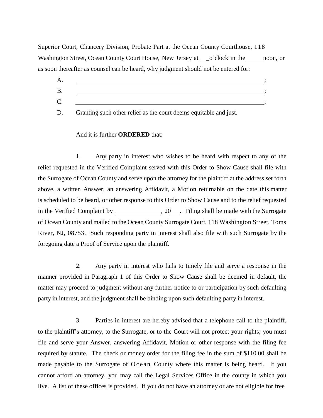Superior Court, Chancery Division, Probate Part at the Ocean County Courthouse, 118 Washington Street, Ocean County Court House, New Jersey at \_\_o'clock in the \_\_\_\_\_\_ noon, or as soon thereafter as counsel can be heard, why judgment should not be entered for:

 $A.$  ; B.  $C.$   $\qquad \qquad$  ;

D. Granting such other relief as the court deems equitable and just.

### And it is further **ORDERED** that:

1. Any party in interest who wishes to be heard with respect to any of the relief requested in the Verified Complaint served with this Order to Show Cause shall file with the Surrogate of Ocean County and serve upon the attorney for the plaintiff at the address set forth above, a written Answer, an answering Affidavit, a Motion returnable on the date this matter is scheduled to be heard, or other response to this Order to Show Cause and to the relief requested in the Verified Complaint by  $\frac{1}{20}$ , 20  $\frac{1}{20}$ . Filing shall be made with the Surrogate of Ocean County and mailed to the Ocean County Surrogate Court, 118 Washington Street, Toms River, NJ, 08753. Such responding party in interest shall also file with such Surrogate by the foregoing date a Proof of Service upon the plaintiff.

2. Any party in interest who fails to timely file and serve a response in the manner provided in Paragraph 1 of this Order to Show Cause shall be deemed in default, the matter may proceed to judgment without any further notice to or participation by such defaulting party in interest, and the judgment shall be binding upon such defaulting party in interest.

3. Parties in interest are hereby advised that a telephone call to the plaintiff, to the plaintiff's attorney, to the Surrogate, or to the Court will not protect your rights; you must file and serve your Answer, answering Affidavit, Motion or other response with the filing fee required by statute. The check or money order for the filing fee in the sum of \$110.00 shall be made payable to the Surrogate of Ocean County where this matter is being heard. If you cannot afford an attorney, you may call the Legal Services Office in the county in which you live. A list of these offices is provided. If you do not have an attorney or are not eligible for free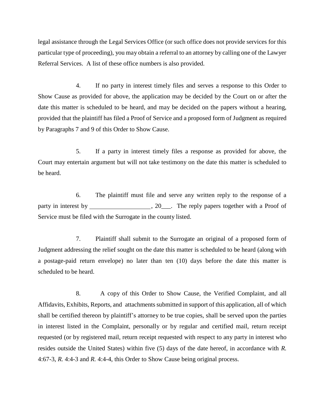legal assistance through the Legal Services Office (or such office does not provide services for this particular type of proceeding), you may obtain a referral to an attorney by calling one of the Lawyer Referral Services. A list of these office numbers is also provided.

4. If no party in interest timely files and serves a response to this Order to Show Cause as provided for above, the application may be decided by the Court on or after the date this matter is scheduled to be heard, and may be decided on the papers without a hearing, provided that the plaintiff has filed a Proof of Service and a proposed form of Judgment as required by Paragraphs 7 and 9 of this Order to Show Cause.

5. If a party in interest timely files a response as provided for above, the Court may entertain argument but will not take testimony on the date this matter is scheduled to be heard.

6. The plaintiff must file and serve any written reply to the response of a party in interest by , 20\_\_\_. The reply papers together with a Proof of Service must be filed with the Surrogate in the county listed.

7. Plaintiff shall submit to the Surrogate an original of a proposed form of Judgment addressing the relief sought on the date this matter is scheduled to be heard (along with a postage-paid return envelope) no later than ten (10) days before the date this matter is scheduled to be heard.

8. A copy of this Order to Show Cause, the Verified Complaint, and all Affidavits, Exhibits, Reports, and attachments submitted in support of this application, all of which shall be certified thereon by plaintiff's attorney to be true copies, shall be served upon the parties in interest listed in the Complaint, personally or by regular and certified mail, return receipt requested (or by registered mail, return receipt requested with respect to any party in interest who resides outside the United States) within five (5) days of the date hereof, in accordance with *R.* 4:67-3, *R.* 4:4-3 and *R.* 4:4-4, this Order to Show Cause being original process.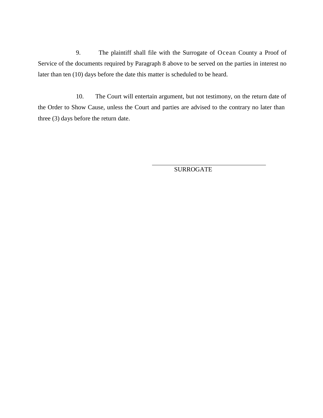9. The plaintiff shall file with the Surrogate of Ocean County a Proof of Service of the documents required by Paragraph 8 above to be served on the parties in interest no later than ten (10) days before the date this matter is scheduled to be heard.

10. The Court will entertain argument, but not testimony, on the return date of the Order to Show Cause, unless the Court and parties are advised to the contrary no later than three (3) days before the return date.

SURROGATE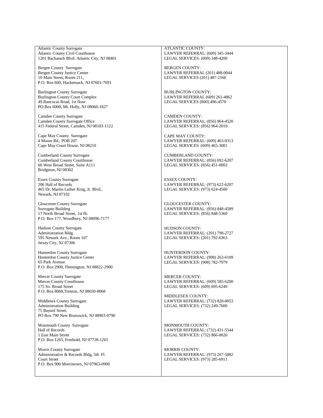Atlantic County Surrogate Atlantic County Civil Courthouse 1201 Bacharach Blvd. Atlantic City, NJ 08401

Bergen County Surrogate Bergen County Justice Center 10 Main Street, Room 211, P.O. Box 600, Hackensack, NJ 07601-7691

Burlington County Surrogate Burlington County Court Complex 49 Rancocas Road, 1st floor PO Box 6000, Mt. Holly, NJ 08060-1827

Camden County Surrogate Camden County Surrogate Office 415 Federal Street, Camden, NJ 08103-1122

Cape May County Surrogate 4 Moore Rd., POB 207 Cape May Court House, NJ 08210

Cumberland County Surrogate Cumberland County Courthouse 60 West Broad Street, Suite A111 Bridgeton, NJ 08302

Essex County Surrogate 206 Hall of Records 465 Dr. Martin Luther King, Jr. Blvd., Newark, NJ 07102

Gloucester County Surrogate Surrogate Building 17 North Broad Street, 1st flr. P.O. Box 177, Woodbury, NJ 08096-7177

Hudson County Surrogate Administration Bldg. 595 Newark Ave., Room 107 Jersey City, NJ 07306

Hunterdon County Surrogate Hunterdon County Justice Center 65 Park Avenue P.O. Box 2900, Flemington, NJ 08822-2900

Mercer County Surrogate Mercer County Courthouse 175 So. Broad Street P.O. Box 8068,Trenton, NJ 08650-0068

Middlesex County Surrogate Administration Building 75 Bayard Street, PO Box 790 New Brunswick, NJ 08903-0790

Monmouth County Surrogate Hall of Records 1 East Main Street P.O. Box 1265, Freehold, NJ 07728-1265

Morris County Surrogate Administrative & Records Bldg, 5th Fl. Court Street P.O. Box 900 Morristown, NJ 07963-0900

ATLANTIC COUNTY: LAWYER REFERRAL: (609) 345-3444 LEGAL SERVICES: (609) 348-4200

BERGEN COUNTY: LAWYER REFERRAL (201) 488-0044 LEGAL SERVICES (201) 487-2166

BURLINGTON COUNTY: LAWYER REFERRAL (609) 261-4862 LEGAL SERVICES (800) 496-4570

CAMDEN COUNTY: LAWYER REFERRAL: (856) 964-4520 LEGAL SERVICES: (856) 964-2010

CAPE MAY COUNTY: LAWYER REFERRAL: (609) 463-0313 LEGAL SERVICES :(609) 465-3001

CUMBERLAND COUNTY: LAWYER REFERRAL: (856) 692-6207 LEGAL SERVICES: (856) 451-0003

ESSEX COUNTY: LAWYER REFERRAL: (973) 622-6207 LEGAL SERVICES: (973) 624-4500

GLOUCESTER COUNTY: LAWYER REFERRAL: (856) 848-4589 LEGAL SERVICES: (856) 848-5360

HUDSON COUNTY: LAWYER REFERRAL: (201) 798-2727 LEGAL SERVICES: (201) 792-6363

HUNTERDON COUNTY: LAWYER REFERRAL: (908) 263-6109 LEGAL SERVICES: (908) 782-7979

MERCER COUNTY: LAWYER REFERRAL: (609) 585-6200 LEGAL SERVICES: (609) 695-6249

MIDDLESEX COUNTY: LAWYER REFERRAL: (732) 828-0053 LEGAL SERVICES: (732) 249-7600

MONMOUTH COUNTY: LAWYER REFERRAL: (732) 431-5544 LEGAL SERVICES: (732) 866-0020

MORRIS COUNTY: LAWYER REFERRAL: (973) 267-5882 LEGAL SERVICES: (973) 285-6911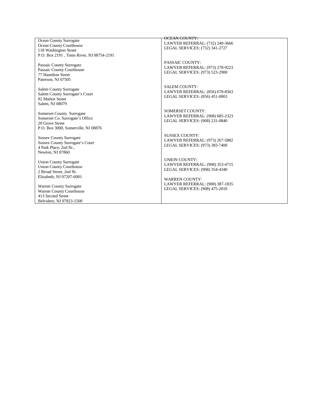Ocean County Surrogate Ocean County Courthouse 118 Washington Street P.O. Box 2191, Toms River, NJ 08754-2191

Passaic County Surrogate Passaic County Courthouse 77 Hamilton Street Paterson, NJ 07505

Salem County Surrogate Salem County Surrogate's Court 92 Market Street Salem, NJ 08079

Somerset County Surrogate Somerset Co. Surrogate's Office 20 Grove Street P.O. Box 3000, Somerville, NJ 08876

Sussex County Surrogate Sussex County Surrogate's Court 4 Park Place, 2nd flr., Newton, NJ 07860

Union County Surrogate Union County Courthouse 2 Broad Street, 2nd flr. Elizabeth, NJ 07207-6001

Warren County Surrogate Warren County Courthouse 413 Second Street Belvidere, NJ 07823-1500

### OCEAN COUNTY:

LAWYER REFERRAL: (732) 240-3666 LEGAL SERVICES: (732) 341-2727

PASSAIC COUNTY: LAWYER REFERRAL: (973) 278-9223 LEGAL SERVICES: (973) 523-2900

SALEM COUNTY: LAWYER REFERRAL: (856) 678-8363 LEGAL SERVICES: (856) 451-0003

SOMERSET COUNTY: LAWYER REFERRAL: (908) 685-2323 LEGAL SERVICES: (908) 231-0840

SUSSEX COUNTY: LAWYER REFERRAL: (973) 267-5882 LEGAL SERVICES: (973) 383-7400

UNION COUNTY: LAWYER REFERRAL: (908) 353-4715 LEGAL SERVICES: (908) 354-4340

W ARREN COUN T Y : LAWYER REFERRAL: (908) 387-1835 LEGAL SERVICES: (908) 475-2010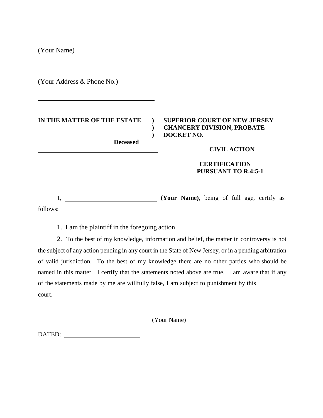(Your Name)

(Your Address & Phone No.)

## **IN THE MATTER OF THE ESTATE ) SUPERIOR COURT OF NEW JERSEY**

**Deceased**

## **) CHANCERY DIVISION, PROBATE ) DOCKET NO.**

### **CIVIL ACTION**

## **CERTIFICATION PURSUANT TO R.4:5-1**

**I, (Your Name),** being of full age, certify as follows:

1. I am the plaintiff in the foregoing action.

2. To the best of my knowledge, information and belief, the matter in controversy is not the subject of any action pending in any court in the State of New Jersey, or in a pending arbitration of valid jurisdiction. To the best of my knowledge there are no other parties who should be named in this matter. I certify that the statements noted above are true. I am aware that if any of the statements made by me are willfully false, I am subject to punishment by this court.

(Your Name)

DATED: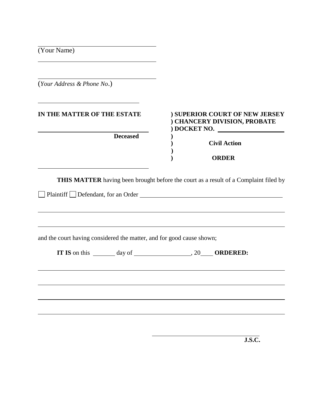| <u> 1980 - Andrea Stadt Britain, amerikansk politik (* 1950)</u>      |                                                                              |
|-----------------------------------------------------------------------|------------------------------------------------------------------------------|
| (Your Address & Phone No.)                                            |                                                                              |
| IN THE MATTER OF THE ESTATE                                           | ) SUPERIOR COURT OF NEW JERSEY<br>) CHANCERY DIVISION, PROBATE<br>DOCKET NO. |
| <b>Deceased</b>                                                       | <b>Civil Action</b>                                                          |
|                                                                       | <b>ORDER</b>                                                                 |
|                                                                       |                                                                              |
|                                                                       |                                                                              |
|                                                                       |                                                                              |
| and the court having considered the matter, and for good cause shown; |                                                                              |
|                                                                       |                                                                              |
|                                                                       |                                                                              |
|                                                                       |                                                                              |
|                                                                       |                                                                              |

**J.S.C.**